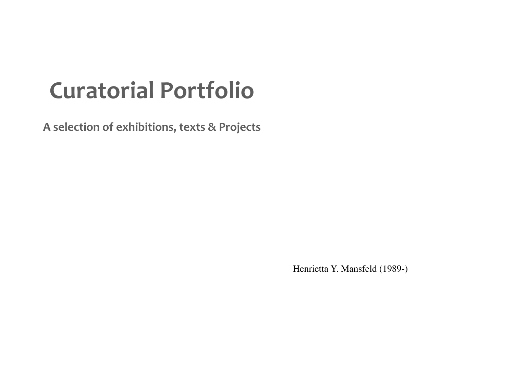# **Curatorial Portfolio**

A selection of exhibitions, texts & Projects

Henrietta Y. Mansfeld (1989-)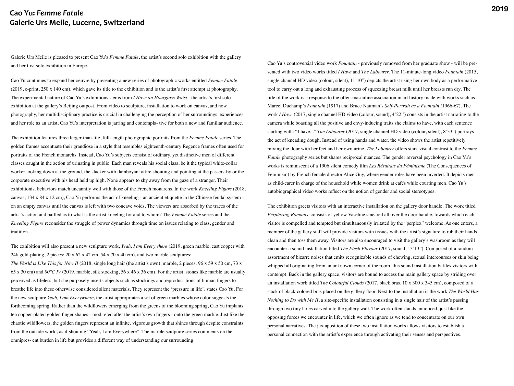Galerie Urs Meile is pleased to present Cao Yu's *Femme Fatale*, the artist's second solo exhibition with the gallery and her first solo exhibition in Europe.

Cao Yu continues to expand her oeuvre by presenting a new series of photographic works entitled *Femme Fatale*  (2019, c-print, 250 x 140 cm), which gave its title to the exhibition and is the artist's first attempt at photography. The experimental nature of Cao Yu's exhibitions stems from *I Have an Hourglass Waist* - the artist's first solo exhibition at the gallery's Beijing outpost. From video to sculpture, installation to work on canvas, and now photography, her multidisciplinary practice is crucial in challenging the perception of her surroundings, experiences and her role as an artist. Cao Yu's interpretation is jarring and contempla- tive for both a new and familiar audience.

The exhibition features three larger-than-life, full-length photographic portraits from the *Femme Fatale* series. The golden frames accentuate their grandiose in a style that resembles eighteenth-century Regence frames often used for portraits of the French monarchs. Instead, Cao Yu's subjects consist of ordinary, yet distinctive men of different classes caught in the action of urinating in public. Each man reveals his social class, be it the typical white-collar worker looking down at the ground, the slacker with flamboyant attire shouting and pointing at the passers-by or the corporate executive with his head held up high. None appears to shy away from the gaze of a stranger. Their exhibitionist behaviors match uncannily well with those of the French monarchs. In the work *Kneeling Figure* (2018, canvas, 134 x 84 x 12 cm), Cao Yu performs the act of kneeling - an ancient etiquette in the Chinese feudal system on an empty canvas until the canvas is left with two concave voids. The viewers are absorbed by the traces of the artist's action and baffled as to what is the artist kneeling for and to whom? The *Femme Fatale* series and the *Kneeling Figure* reconsider the struggle of power dynamics through time on issues relating to class, gender and tradition.

The exhibition will also present a new sculpture work, *Yeah, I am Everywhere* (2019, green marble, cast copper with 24k gold-plating, 2 pieces;  $20 \times 62 \times 42$  cm,  $54 \times 70 \times 40$  cm), and two marble sculptures:

*The World is Like This for Now II* (2018, single long hair (the artist's own), marble, 2 pieces; 96 x 59 x 50 cm, 73 x 65 x 30 cm) and *90°C IV* (2019, marble, silk stocking, 56 x 46 x 36 cm). For the artist, stones like marble are usually perceived as lifeless, but she purposely inserts objects such as stockings and reproduc- tions of human fingers to breathe life into these otherwise considered silent materials. They represent the 'pressure in life', states Cao Yu. For the new sculpture *Yeah, I am Everywhere*, the artist appropriates a set of green marbles whose color suggests the forthcoming spring. Rather than the wildflowers emerging from the greens of the blooming spring, Cao Yu implants ten copper-plated golden finger shapes - mod- eled after the artist's own fingers - onto the green marble. Just like the chaotic wildflowers, the golden fingers represent an infinite, vigorous growth that shines through despite constraints from the outside world, as if shouting "Yeah, I am Everywhere". The marble sculpture series comments on the omnipres- ent burden in life but provides a different way of understanding our surrounding.

Cao Yu's controversial video work *Fountain* - previously removed from her graduate show - will be presented with two video works titled *I Have* and *The Labourer*. The 11-minute-long video *Fountain* (2015, single channel HD video (colour, silent), 11'10") depicts the artist using her own body as a performative tool to carry out a long and exhausting process of squeezing breast milk until her breasts run dry. The title of the work is a response to the often-masculine association in art history made with works such as Marcel Duchamp's *Fountain* (1917) and Bruce Nauman's *Self-Portrait as a Fountain* (1966-67). The work *I Have* (2017, single channel HD video (colour, sound), 4'22") consists in the artist narrating to the camera while boasting all the positive and envy-inducing traits she claims to have, with each sentence starting with: "I have..." *The Labourer* (2017, single channel HD video (colour, silent), 8'33") portrays the act of kneading dough. Instead of using hands and water, the video shows the artist repetitively mixing the flour with her feet and her own urine. *The Labourer* offers stark visual contrast to the *Femme Fatale* photography series but shares reciprocal nuances. The gender reversal psychology in Cao Yu's works is reminiscent of a 1906 silent comedy film *Les Résultats du Féminisme* (The Consequences of Feminism) by French female director Alice Guy, where gender roles have been inverted. It depicts men as child-carer in charge of the household while women drink at cafés while courting men. Cao Yu's autobiographical video works reflect on the notion of gender and social stereotypes.

The exhibition greets visitors with an interactive installation on the gallery door handle. The work titled *Perplexing Romance* consists of yellow Vaseline smeared all over the door handle, towards which each visitor is compelled and tempted but simultaneously irritated by the "perplex" welcome. As one enters, a member of the gallery staff will provide visitors with tissues with the artist's signature to rub their hands clean and then toss them away. Visitors are also encouraged to visit the gallery's washroom as they will encounter a sound installation titled *The Flesh Flavour* (2017, sound, 13'13"). Composed of a random assortment of bizarre noises that emits recognizable sounds of chewing, sexual intercourses or skin being whipped all originating from an unknown corner of the room, this sound installation baffles visitors with contempt. Back in the gallery space, visitors are bound to access the main gallery space by striding over an installation work titled *The Colourful Clouds* (2017, black bras, 10 x 300 x 345 cm), composed of a stack of black-colored bras placed on the gallery floor. Next to the installation is the work *The World Has Nothing to Do with Me II*, a site-specific installation consisting in a single hair of the artist's passing through two tiny holes carved into the gallery wall. The work often stands unnoticed, just like the opposing forces we encounter in life, which we often ignore as we tend to concentrate on our own personal narratives. The juxtaposition of these two installation works allows visitors to establish a personal connection with the artist's experience through activating their senses and perspectives.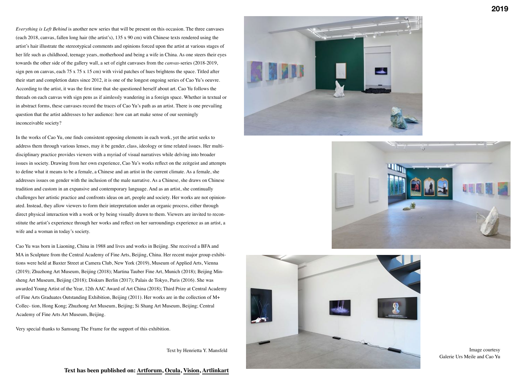*Everything is Left Behind* is another new series that will be present on this occasion. The three canvases (each 2018, canvas, fallen long hair (the artist's), 135 x 90 cm) with Chinese texts rendered using the artist's hair illustrate the stereotypical comments and opinions forced upon the artist at various stages of her life such as childhood, teenage years, motherhood and being a wife in China. As one steers their eyes towards the other side of the gallery wall, a set of eight canvases from the *canvas*-series (2018-2019, sign pen on canvas, each 75 x 75 x 15 cm) with vivid patches of hues brightens the space. Titled after their start and completion dates since 2012, it is one of the longest ongoing series of Cao Yu's oeuvre. According to the artist, it was the first time that she questioned herself about art. Cao Yu follows the threads on each canvas with sign pens as if aimlessly wandering in a foreign space. Whether in textual or in abstract forms, these canvases record the traces of Cao Yu's path as an artist. There is one prevailing question that the artist addresses to her audience: how can art make sense of our seemingly inconceivable society?

In the works of Cao Yu, one finds consistent opposing elements in each work, yet the artist seeks to address them through various lenses, may it be gender, class, ideology or time related issues. Her multidisciplinary practice provides viewers with a myriad of visual narratives while delving into broader issues in society. Drawing from her own experience, Cao Yu's works reflect on the zeitgeist and attempts to define what it means to be a female, a Chinese and an artist in the current climate. As a female, she addresses issues on gender with the inclusion of the male narrative. As a Chinese, she draws on Chinese tradition and custom in an expansive and contemporary language. And as an artist, she continually challenges her artistic practice and confronts ideas on art, people and society. Her works are not opinionated. Instead, they allow viewers to form their interpretation under an organic process, either through direct physical interaction with a work or by being visually drawn to them. Viewers are invited to reconstitute the artist's experience through her works and reflect on her surroundings experience as an artist, a wife and a woman in today's society.

Cao Yu was born in Liaoning, China in 1988 and lives and works in Beijing. She received a BFA and MA in Sculpture from the Central Academy of Fine Arts, Beijing, China. Her recent major group exhibitions were held at Baxter Street at Camera Club, New York (2019), Museum of Applied Arts, Vienna (2019); Zhuzhong Art Museum, Beijing (2018); Martina Tauber Fine Art, Munich (2018); Beijing Minsheng Art Museum, Beijing (2018); Diskurs Berlin (2017); Palais de Tokyo, Paris (2016). She was awarded Young Artist of the Year, 12th AAC Award of Art China (2018); Third Prize at Central Academy of Fine Arts Graduates Outstanding Exhibition, Beijing (2011). Her works are in the collection of M+ Collec- tion, Hong Kong; Zhuzhong Art Museum, Beijing; Si Shang Art Museum, Beijing; Central Academy of Fine Arts Art Museum, Beijing.

Very special thanks to Samsung The Frame for the support of this exhibition.

Text by Henrietta Y. Mansfeld







Image courtesy Galerie Urs Meile and Cao Yu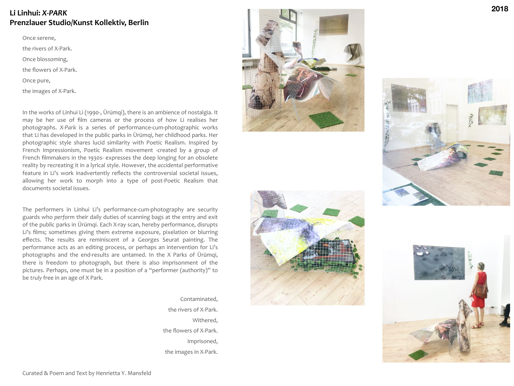# **Li Linhui:** *X-PARK* **Prenzlauer Studio/Kunst Kollektiv, Berlin**

Once serene,

the rivers of X-Park.

Once blossoming,

the flowers of X-Park.

Once pure,

the images of X-Park.

In the works of Linhui Li (1990-, Ürümqi), there is an ambience of nostalgia. It may be her use of film cameras or the process of how Li realises her photographs. *X-Park* is a series of performance-cum-photographic works that Li has developed in the public parks in Ürümqi, her childhood parks. Her photographic style shares lucid similarity with Poetic Realism. Inspired by French Impressionism, Poetic Realism movement -created by a group of French filmmakers in the 1930s- expresses the deep longing for an obsolete reality by recreating it in a lyrical style. However, the *accidental* performative feature in Li's work inadvertently reflects the controversial societal issues, allowing her work to morph into a type of post-Poetic Realism that documents societal issues.

The performers in Linhui Li's performance-cum-photography are security guards who perform their daily duties of scanning bags at the entry and exit of the public parks in Ürümqi. Each X-ray scan, hereby performance, disrupts Li's films; sometimes giving them extreme exposure, pixelation or blurring effects. The results are reminiscent of a Georges Seurat painting. The performance acts as an editing process, or perhaps an intervention for Li's photographs and the end-results are untamed. In the X Parks of Ürümqi, there is freedom to photograph, but there is also imprisonment of the pictures. Perhaps, one must be in a position of a "performer (authority)" to be *truly* free in an age of X Park.









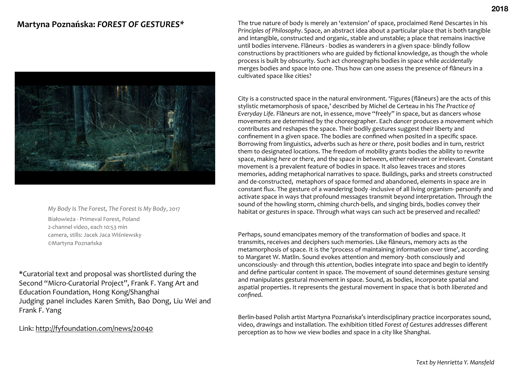# **Martyna Poznańska:** *FOREST OF GESTURES\**



*My Body Is The Forest, The Forest Is My Body*, 2017 Białowieża - Primeval Forest, Poland 2-channel video, each 10:53 min camera, stills: Jacek Jaca Wiśniewsky ©Martyna Poznańska

\*Curatorial text and proposal was shortlisted during the Second "Micro-Curatorial Project", Frank F. Yang Art and Education Foundation, Hong Kong/Shanghai Judging panel includes Karen Smith, Bao Dong, Liu Wei and Frank F. Yang

#### Link: <http://fyfoundation.com/news/20040>

The true nature of body is merely an 'extension' of space, proclaimed René Descartes in his *Principles* of *Philosophy*. Space, an abstract idea about a particular place that is both tangible and intangible, constructed and organic, stable and unstable; a place that remains inactive until bodies intervene. Flâneurs - bodies as wanderers in a given space- blindly follow constructions by practitioners who are guided by fictional knowledge, as though the whole process is built by obscurity. Such act choreographs bodies in space while *accidentally* merges bodies and space into one. Thus how can one assess the presence of flâneurs in a cultivated space like cities?

City is a constructed space in the natural environment. 'Figures (flâneurs) are the acts of this stylistic metamorphosis of space,' described by Michel de Certeau in his The Practice of *Everyday Life.* Flâneurs are not, in essence, move "freely" in space, but as dancers whose movements are determined by the choreographer. Each *dancer* produces a movement which contributes and reshapes the space. Their bodily gestures suggest their liberty and confinement in a given space. The bodies are confined when posited in a specific space. Borrowing from linguistics, adverbs such as *here* or there, posit bodies and in turn, restrict them to designated locations. The freedom of mobility grants bodies the ability to rewrite space, making *here* or there, and the space in between, either relevant or irrelevant. Constant movement is a prevalent feature of bodies in space. It also leaves traces and stores memories, adding metaphorical narratives to space. Buildings, parks and streets constructed and de-constructed, metaphors of space formed and abandoned, elements in space are in constant flux. The gesture of a wandering body -inclusive of all living organism- personify and activate space in ways that profound messages transmit beyond interpretation. Through the sound of the howling storm, chiming church-bells, and singing birds, bodies convey their habitat or gestures in space. Through what ways can such act be preserved and recalled?

Perhaps, sound emancipates memory of the transformation of bodies and space. It transmits, receives and deciphers such memories. Like flâneurs, memory acts as the metamorphosis of space. It is the 'process of maintaining information over time', according to Margaret W. Matlin. Sound evokes attention and memory -both consciously and unconsciously- and through this *attention*, bodies integrate into space and begin to identify and define particular content in space. The movement of sound determines gesture sensing and manipulates gestural movement in space. Sound, as bodies, incorporate spatial and aspatial properties. It represents the gestural movement in space that is both *liberated* and *confined*. 

Berlin-based Polish artist Martyna Poznańska's interdisciplinary practice incorporates sound, video, drawings and installation. The exhibition titled Forest of Gestures addresses different perception as to how we view bodies and space in a city like Shanghai.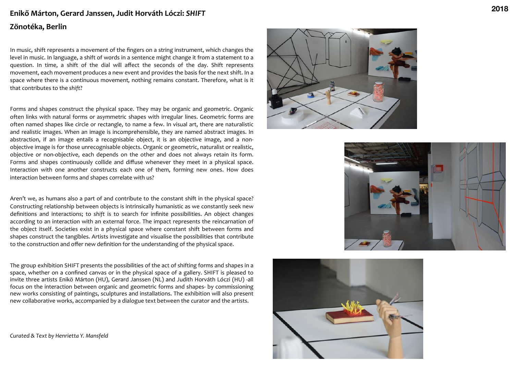# Enikő Márton, Gerard Janssen, Judit Horváth Lóczi: SHIFT **Zönotéka, Berlin**

In music, shift represents a movement of the fingers on a string instrument, which changes the level in music. In language, a shift of words in a sentence might change it from a statement to a question. In time, a shift of the dial will affect the seconds of the day. Shift represents movement, each movement produces a new event and provides the basis for the next shift. In a space where there is a continuous movement, nothing remains constant. Therefore, what is it that contributes to the shift?

Forms and shapes construct the physical space. They may be organic and geometric. Organic often links with natural forms or asymmetric shapes with irregular lines. Geometric forms are often named shapes like circle or rectangle, to name a few. In visual art, there are naturalistic and realistic images. When an image is incomprehensible, they are named abstract images. In abstraction, if an image entails a recognisable object, it is an objective image, and a nonobjective image is for those unrecognisable objects. Organic or geometric, naturalist or realistic, objective or non-objective, each depends on the other and does not always retain its form. Forms and shapes continuously collide and diffuse whenever they meet in a physical space. Interaction with one another constructs each one of them, forming new ones. How does interaction between forms and shapes correlate with us?

Aren't we, as humans also a part of and contribute to the constant shift in the physical space? Constructing relationship between objects is intrinsically humanistic as we constantly seek new definitions and interactions; to shift is to search for infinite possibilities. An object changes according to an interaction with an external force. The impact represents the reincarnation of the object itself. Societies exist in a physical space where constant shift between forms and shapes construct the tangibles. Artists investigate and visualise the possibilities that contribute to the construction and offer new definition for the understanding of the physical space.

The group exhibition SHIFT presents the possibilities of the act of shifting forms and shapes in a space, whether on a confined canvas or in the physical space of a gallery. SHIFT is pleased to invite three artists Enikö Márton (HU), Gerard Janssen (NL) and Judith Horváth Lóczi (HU) -all focus on the interaction between organic and geometric forms and shapes- by commissioning new works consisting of paintings, sculptures and installations. The exhibition will also present new collaborative works, accompanied by a dialogue text between the curator and the artists.

*Curated & Text by Henrietta Y. Mansfeld* 





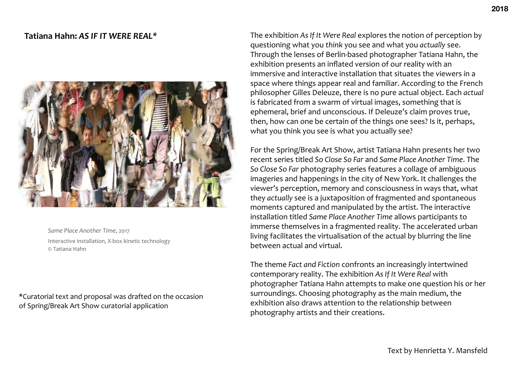# Tatiana Hahn: AS IF IT WERE REAL\*



Same Place Another Time, 2017 Interactive installation, X-box kinetic technology © Tatiana Hahn

\*Curatorial text and proposal was drafted on the occasion of Spring/Break Art Show curatorial application

The exhibition As If It Were Real explores the notion of perception by questioning what you think you see and what you *actually* see. Through the lenses of Berlin-based photographer Tatiana Hahn, the exhibition presents an inflated version of our reality with an immersive and interactive installation that situates the viewers in a space where things appear real and familiar. According to the French philosopher Gilles Deleuze, there is no pure actual object. Each *actual* is fabricated from a swarm of virtual images, something that is ephemeral, brief and unconscious. If Deleuze's claim proves true, then, how can one be certain of the things one sees? Is it, perhaps, what you think you see is what you actually see?

For the Spring/Break Art Show, artist Tatiana Hahn presents her two recent series titled So Close So Far and Same Place Another Time. The So Close So Far photography series features a collage of ambiguous imageries and happenings in the city of New York. It challenges the viewer's perception, memory and consciousness in ways that, what they *actually* see is a juxtaposition of fragmented and spontaneous moments captured and manipulated by the artist. The interactive installation titled Same Place Another Time allows participants to immerse themselves in a fragmented reality. The accelerated urban living facilitates the virtualisation of the actual by blurring the line between actual and virtual.

The theme *Fact and Fiction* confronts an increasingly intertwined contemporary reality. The exhibition As If It Were Real with photographer Tatiana Hahn attempts to make one question his or her surroundings. Choosing photography as the main medium, the exhibition also draws attention to the relationship between photography artists and their creations.

Text by Henrietta Y. Mansfeld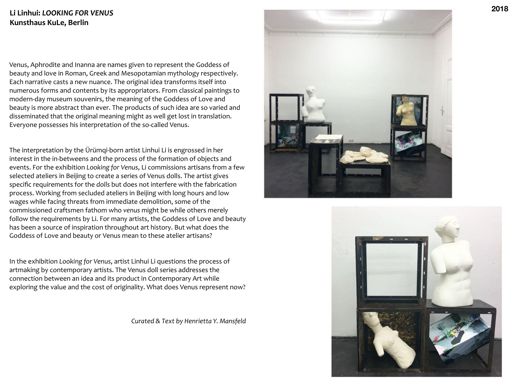### Li Linhui: LOOKING FOR VENUS **Kunsthaus KuLe, Berlin**

Venus, Aphrodite and Inanna are names given to represent the Goddess of beauty and love in Roman, Greek and Mesopotamian mythology respectively. Each narrative casts a new nuance. The original idea transforms itself into numerous forms and contents by its appropriators. From classical paintings to modern-day museum souvenirs, the meaning of the Goddess of Love and beauty is more abstract than ever. The products of such idea are so varied and disseminated that the original meaning might as well get lost in translation. Everyone possesses his interpretation of the so-called Venus.

The interpretation by the Ürümqi-born artist Linhui Li is engrossed in her interest in the in-betweens and the process of the formation of objects and events. For the exhibition *Looking* for Venus, Li commissions artisans from a few selected ateliers in Beijing to create a series of Venus dolls. The artist gives specific requirements for the *dolls* but does not interfere with the fabrication process. Working from secluded ateliers in Beijing with long hours and low wages while facing threats from immediate demolition, some of the commissioned craftsmen fathom who *venus* might be while others merely follow the requirements by Li. For many artists, the Goddess of Love and beauty has been a source of inspiration throughout art history. But what does the Goddess of Love and beauty or Venus mean to these atelier artisans?

In the exhibition *Looking for Venus*, artist Linhui Li questions the process of artmaking by contemporary artists. The Venus doll series addresses the connection between an idea and its product in Contemporary Art while exploring the value and the cost of originality. What does Venus represent now?

*Curated & Text by Henrietta Y. Mansfeld*



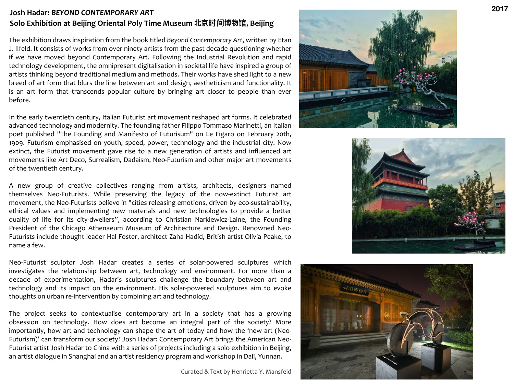# **Josh Hadar:** *BEYOND CONTEMPORARY ART* **Solo Exhibition at Beijing Oriental Poly Time Museum 北京ᳵ博物 ḅ, Beijing**

The exhibition draws inspiration from the book titled *Beyond Contemporary Art*, written by Etan J. Ilfeld. It consists of works from over ninety artists from the past decade questioning whether if we have moved beyond Contemporary Art. Following the Industrial Revolution and rapid technology development, the omnipresent digitalisation in societal life have inspired a group of artists thinking beyond traditional medium and methods. Their works have shed light to a new breed of art form that blurs the line between art and design, aestheticism and functionality. It is an art form that transcends popular culture by bringing art closer to people than ever before. 

In the early twentieth century, Italian Futurist art movement reshaped art forms. It celebrated advanced technology and modernity. The founding father Filippo Tommaso Marinetti, an Italian poet published "The Founding and Manifesto of Futurisum" on Le Figaro on February 20th, 1909. Futurism emphasised on youth, speed, power, technology and the industrial city. Now extinct, the Futurist movement gave rise to a new generation of artists and influenced art movements like Art Deco, Surrealism, Dadaism, Neo-Futurism and other major art movements of the twentieth century.

A new group of creative collectives ranging from artists, architects, designers named themselves Neo-Futurists. While preserving the legacy of the now-extinct Futurist art movement, the Neo-Futurists believe in "cities releasing emotions, driven by eco-sustainability, ethical values and implementing new materials and new technologies to provide a better quality of life for its city-dwellers", according to Christian Narkiewicz-Laine, the Founding President of the Chicago Athenaeum Museum of Architecture and Design. Renowned Neo-Futurists include thought leader Hal Foster, architect Zaha Hadid, British artist Olivia Peake, to name a few.

Neo-Futurist sculptor Josh Hadar creates a series of solar-powered sculptures which investigates the relationship between art, technology and environment. For more than a decade of experimentation, Hadar's sculptures challenge the boundary between art and technology and its impact on the environment. His solar-powered sculptures aim to evoke thoughts on urban re-intervention by combining art and technology.

The project seeks to contextualise contemporary art in a society that has a growing obsession on technology. How does art become an integral part of the society? More importantly, how art and technology can shape the art of today and how the 'new art (Neo-Futurism)' can transform our society? Josh Hadar: Contemporary Art brings the American Neo-Futurist artist Josh Hadar to China with a series of projects including a solo exhibition in Beijing, an artist dialogue in Shanghai and an artist residency program and workshop in Dali, Yunnan.

Curated & Text by Henrietta Y. Mansfeld